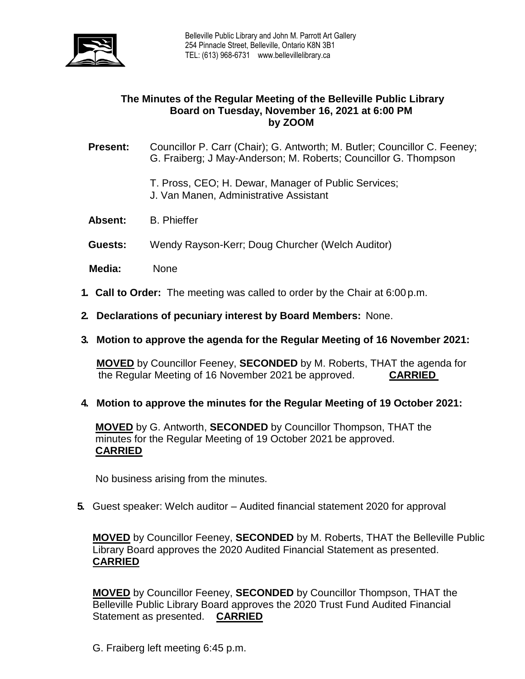

# **The Minutes of the Regular Meeting of the Belleville Public Library Board on Tuesday, November 16, 2021 at 6:00 PM by ZOOM**

**Present:** Councillor P. Carr (Chair); G. Antworth; M. Butler; Councillor C. Feeney; G. Fraiberg; J May-Anderson; M. Roberts; Councillor G. Thompson

- T. Pross, CEO; H. Dewar, Manager of Public Services; J. Van Manen, Administrative Assistant
- **Absent:** B. Phieffer
- **Guests:** Wendy Rayson-Kerr; Doug Churcher (Welch Auditor)
- **Media:** None
- **1. Call to Order:** The meeting was called to order by the Chair at 6:00 p.m.
- **2. Declarations of pecuniary interest by Board Members:** None.
- **3. Motion to approve the agenda for the Regular Meeting of 16 November 2021:**

**MOVED** by Councillor Feeney, **SECONDED** by M. Roberts, THAT the agenda for the Regular Meeting of 16 November 2021 be approved. **CARRIED**

**4. Motion to approve the minutes for the Regular Meeting of 19 October 2021:**

**MOVED** by G. Antworth, **SECONDED** by Councillor Thompson, THAT the minutes for the Regular Meeting of 19 October 2021 be approved. **CARRIED**

No business arising from the minutes.

**5.** Guest speaker: Welch auditor – Audited financial statement 2020 for approval

**MOVED** by Councillor Feeney, **SECONDED** by M. Roberts, THAT the Belleville Public Library Board approves the 2020 Audited Financial Statement as presented. **CARRIED**

**MOVED** by Councillor Feeney, **SECONDED** by Councillor Thompson, THAT the Belleville Public Library Board approves the 2020 Trust Fund Audited Financial Statement as presented. **CARRIED**

G. Fraiberg left meeting 6:45 p.m.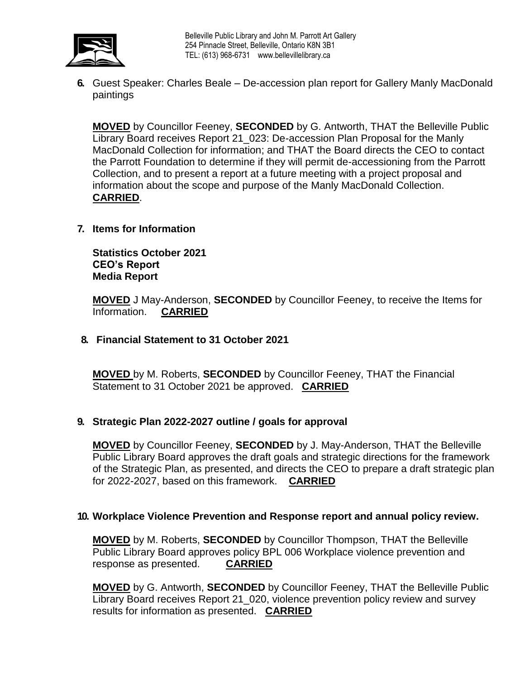

Belleville Public Library and John M. Parrott Art Gallery 254 Pinnacle Street, Belleville, Ontario K8N 3B1 TEL: (613) 968-6731 [www.bellevillelibrary.ca](http://www.bellevillelibrary.ca/)

**6.** Guest Speaker: Charles Beale – De-accession plan report for Gallery Manly MacDonald paintings

**MOVED** by Councillor Feeney, **SECONDED** by G. Antworth, THAT the Belleville Public Library Board receives Report 21\_023: De-accession Plan Proposal for the Manly MacDonald Collection for information; and THAT the Board directs the CEO to contact the Parrott Foundation to determine if they will permit de-accessioning from the Parrott Collection, and to present a report at a future meeting with a project proposal and information about the scope and purpose of the Manly MacDonald Collection. **CARRIED**.

**7. Items for Information**

**Statistics October 2021 CEO's Report Media Report**

**MOVED** J May-Anderson, **SECONDED** by Councillor Feeney, to receive the Items for Information. **CARRIED** 

**8. Financial Statement to 31 October 2021**

**MOVED** by M. Roberts, **SECONDED** by Councillor Feeney, THAT the Financial Statement to 31 October 2021 be approved. **CARRIED**

### **9. Strategic Plan 2022-2027 outline / goals for approval**

**MOVED** by Councillor Feeney, **SECONDED** by J. May-Anderson, THAT the Belleville Public Library Board approves the draft goals and strategic directions for the framework of the Strategic Plan, as presented, and directs the CEO to prepare a draft strategic plan for 2022-2027, based on this framework. **CARRIED**

### **10. Workplace Violence Prevention and Response report and annual policy review.**

**MOVED** by M. Roberts, **SECONDED** by Councillor Thompson, THAT the Belleville Public Library Board approves policy BPL 006 Workplace violence prevention and response as presented. **CARRIED**

**MOVED** by G. Antworth, **SECONDED** by Councillor Feeney, THAT the Belleville Public Library Board receives Report 21\_020, violence prevention policy review and survey results for information as presented. **CARRIED**